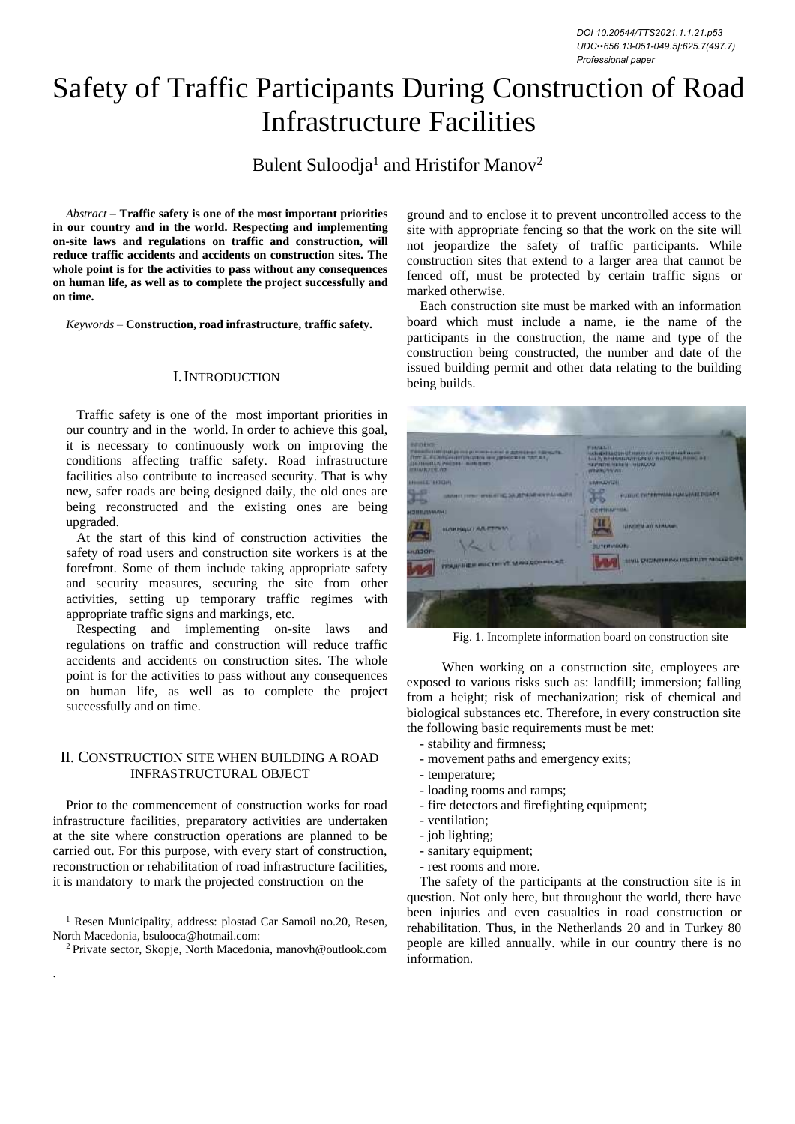# Safety of Traffic Participants During Construction of Road Infrastructure Facilities

Bulent Suloodja<sup>1</sup> and Hristifor Manov<sup>2</sup>

*Abstract –* **Traffic safety is one of the most important priorities in our country and in the world. Respecting and implementing on-site laws and regulations on traffic and construction, will reduce traffic accidents and accidents on construction sites. The whole point is for the activities to pass without any consequences on human life, as well as to complete the project successfully and on time.**

*Keywords –* **Construction, road infrastructure, traffic safety.**

# I.INTRODUCTION

Traffic safety is one of the most important priorities in our country and in the world. In order to achieve this goal, it is necessary to continuously work on improving the conditions affecting traffic safety. Road infrastructure facilities also contribute to increased security. That is why new, safer roads are being designed daily, the old ones are being reconstructed and the existing ones are being upgraded.

At the start of this kind of construction activities the safety of road users and construction site workers is at the forefront. Some of them include taking appropriate safety and security measures, securing the site from other activities, setting up temporary traffic regimes with appropriate traffic signs and markings, etc.

Respecting and implementing on-site laws and regulations on traffic and construction will reduce traffic accidents and accidents on construction sites. The whole point is for the activities to pass without any consequences on human life, as well as to complete the project successfully and on time.

### II. CONSTRUCTION SITE WHEN BUILDING A ROAD INFRASTRUCTURAL OBJECT

Prior to the commencement of construction works for road infrastructure facilities, preparatory activities are undertaken at the site where construction operations are planned to be carried out. For this purpose, with every start of construction, reconstruction or rehabilitation of road infrastructure facilities, it is mandatory to mark the projected construction on the

<sup>1</sup> Resen Municipality, address: plostad Car Samoil no. 20, Resen, North Macedonia, [bsulooca@hotmail.com:](mailto:bsulooca@hotmail.com)

<sup>2</sup> Private sector, Skopje, North Macedonia, [manovh@outlook.com](mailto:manovh@outlook.com)

.

ground and to enclose it to prevent uncontrolled access to the site with appropriate fencing so that the work on the site will not jeopardize the safety of traffic participants. While construction sites that extend to a larger area that cannot be fenced off, must be protected by certain traffic signs or marked otherwise.

Each construction site must be marked with an information board which must include a name, ie the name of the participants in the construction, the name and type of the construction being constructed, the number and date of the issued building permit and other data relating to the building being builds.

| <b>REDUCT</b><br>THE R. P. LEWIS CO., LANSING, MICH. 49-14039-1-120-2<br><b>GENERALLY PROPE AMMINIST</b><br><b>PRINTER TO CARD THE REAL PROPERTY</b> | <b>AND IMPROVEMENT WATER AND THE REAL</b><br><b>NATIONAL MARKET MERCAND</b><br>mieruny on. |  |  |
|------------------------------------------------------------------------------------------------------------------------------------------------------|--------------------------------------------------------------------------------------------|--|--|
| <b>ARRIVERS AFTERFIT</b>                                                                                                                             | <b><i>EXTILIZATION</i></b>                                                                 |  |  |
| завит постоянные за девремя назвати                                                                                                                  | <b>CHOUN</b><br>PUBLIC DISTINGUIREMENT DE ADE                                              |  |  |
|                                                                                                                                                      | <b>TO PETER ATTICAL</b>                                                                    |  |  |
|                                                                                                                                                      | <b><i><u><u><b>TIMERATURALES</b></u></u></i></b>                                           |  |  |
|                                                                                                                                                      |                                                                                            |  |  |
| гладичись институт македонных Ад-                                                                                                                    | TIAM DATA LINES INFLUIT WELFARE                                                            |  |  |
|                                                                                                                                                      |                                                                                            |  |  |
|                                                                                                                                                      |                                                                                            |  |  |

Fig. 1. Incomplete information board on construction site

When working on a construction site, employees are exposed to various risks such as: landfill; immersion; falling from a height; risk of mechanization; risk of chemical and biological substances etc. Therefore, in every construction site the following basic requirements must be met:

- stability and firmness;
- movement paths and emergency exits;
- temperature;
- loading rooms and ramps;
- fire detectors and firefighting equipment;
- ventilation;
- job lighting;
- sanitary equipment;
- rest rooms and more.

The safety of the participants at the construction site is in question. Not only here, but throughout the world, there have been injuries and even casualties in road construction or rehabilitation. Thus, in the Netherlands 20 and in Turkey 80 people are killed annually. while in our country there is no information.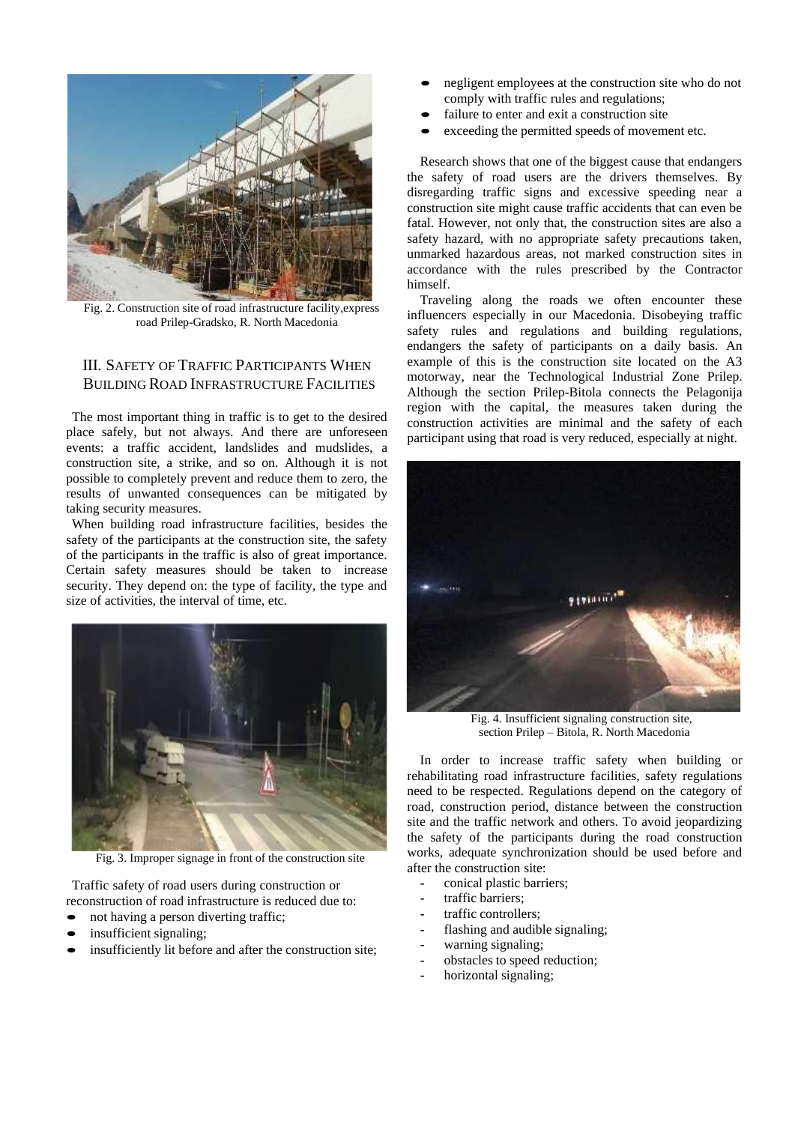

Fig. 2. Construction site of road infrastructure facility,express road Prilep-Gradsko, R. North Macedonia

# III. SAFETY OF TRAFFIC PARTICIPANTS WHEN BUILDING ROAD INFRASTRUCTURE FACILITIES

The most important thing in traffic is to get to the desired place safely, but not always. And there are unforeseen events: a traffic accident, landslides and mudslides, a construction site, a strike, and so on. Although it is not possible to completely prevent and reduce them to zero, the results of unwanted consequences can be mitigated by taking security measures.

When building road infrastructure facilities, besides the safety of the participants at the construction site, the safety of the participants in the traffic is also of great importance. Certain safety measures should be taken to increase security. They depend on: the type of facility, the type and size of activities, the interval of time, etc.



Fig. 3. Improper signage in front of the construction site

Traffic safety of road users during construction or reconstruction of road infrastructure is reduced due to:

- not having a person diverting traffic;
- insufficient signaling;
- insufficiently lit before and after the construction site;
- negligent employees at the construction site who do not comply with traffic rules and regulations;
- failure to enter and exit a construction site
- exceeding the permitted speeds of movement etc.

Research shows that one of the biggest cause that endangers the safety of road users are the drivers themselves. By disregarding traffic signs and excessive speeding near a construction site might cause traffic accidents that can even be fatal. However, not only that, the construction sites are also a safety hazard, with no appropriate safety precautions taken, unmarked hazardous areas, not marked construction sites in accordance with the rules prescribed by the Contractor himself.

Traveling along the roads we often encounter these influencers especially in our Macedonia. Disobeying traffic safety rules and regulations and building regulations, endangers the safety of participants on a daily basis. An example of this is the construction site located on the A3 motorway, near the Technological Industrial Zone Prilep. Although the section Prilep-Bitola connects the Pelagonija region with the capital, the measures taken during the construction activities are minimal and the safety of each participant using that road is very reduced, especially at night.



Fig. 4. Insufficient signaling construction site, section Prilep – Bitola, R. North Macedonia

In order to increase traffic safety when building or rehabilitating road infrastructure facilities, safety regulations need to be respected. Regulations depend on the category of road, construction period, distance between the construction site and the traffic network and others. To avoid jeopardizing the safety of the participants during the road construction works, adequate synchronization should be used before and after the construction site:

- **-** conical plastic barriers;
- **-** traffic barriers;
- **-** traffic controllers;
- **-** flashing and audible signaling;
- **-** warning signaling;
- **-** obstacles to speed reduction;
- **-** horizontal signaling;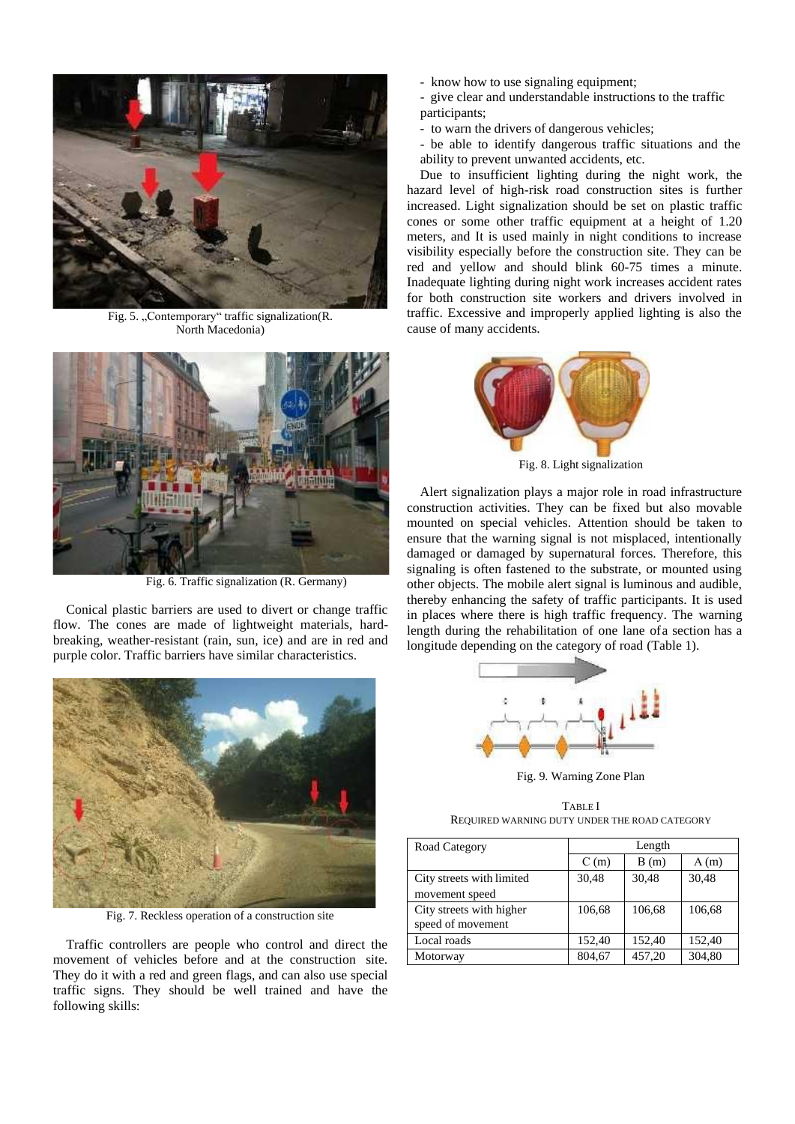

Fig. 5. "Contemporary" traffic signalization(R. North Macedonia)



Fig. 6. Traffic signalization (R. Germany)

Conical plastic barriers are used to divert or change traffic flow. The cones are made of lightweight materials, hardbreaking, weather-resistant (rain, sun, ice) and are in red and purple color. Traffic barriers have similar characteristics.



Fig. 7. Reckless operation of a construction site

Traffic controllers are people who control and direct the movement of vehicles before and at the construction site. They do it with a red and green flags, and can also use special traffic signs. They should be well trained and have the following skills:

- know how to use signaling equipment;
- give clear and understandable instructions to the traffic
- participants;
- to warn the drivers of dangerous vehicles;
- be able to identify dangerous traffic situations and the ability to prevent unwanted accidents, etc.

Due to insufficient lighting during the night work, the hazard level of high-risk road construction sites is further increased. Light signalization should be set on plastic traffic cones or some other traffic equipment at a height of 1.20 meters, and It is used mainly in night conditions to increase visibility especially before the construction site. They can be red and yellow and should blink 60-75 times a minute. Inadequate lighting during night work increases accident rates for both construction site workers and drivers involved in traffic. Excessive and improperly applied lighting is also the cause of many accidents.



Fig. 8. Light signalization

Alert signalization plays a major role in road infrastructure construction activities. They can be fixed but also movable mounted on special vehicles. Attention should be taken to ensure that the warning signal is not misplaced, intentionally damaged or damaged by supernatural forces. Therefore, this signaling is often fastened to the substrate, or mounted using other objects. The mobile alert signal is luminous and audible, thereby enhancing the safety of traffic participants. It is used in places where there is high traffic frequency. The warning length during the rehabilitation of one lane ofa section has a longitude depending on the category of road (Table 1).



Fig. 9. Warning Zone Plan

TABLE I REQUIRED WARNING DUTY UNDER THE ROAD CATEGORY

| Road Category             |        | Length |        |  |
|---------------------------|--------|--------|--------|--|
|                           | C(m)   | B(m)   | A(m)   |  |
| City streets with limited | 30,48  | 30,48  | 30,48  |  |
| movement speed            |        |        |        |  |
| City streets with higher  | 106,68 | 106,68 | 106,68 |  |
| speed of movement         |        |        |        |  |
| Local roads               | 152.40 | 152,40 | 152,40 |  |
| Motorway                  | 804.67 | 457,20 | 304,80 |  |